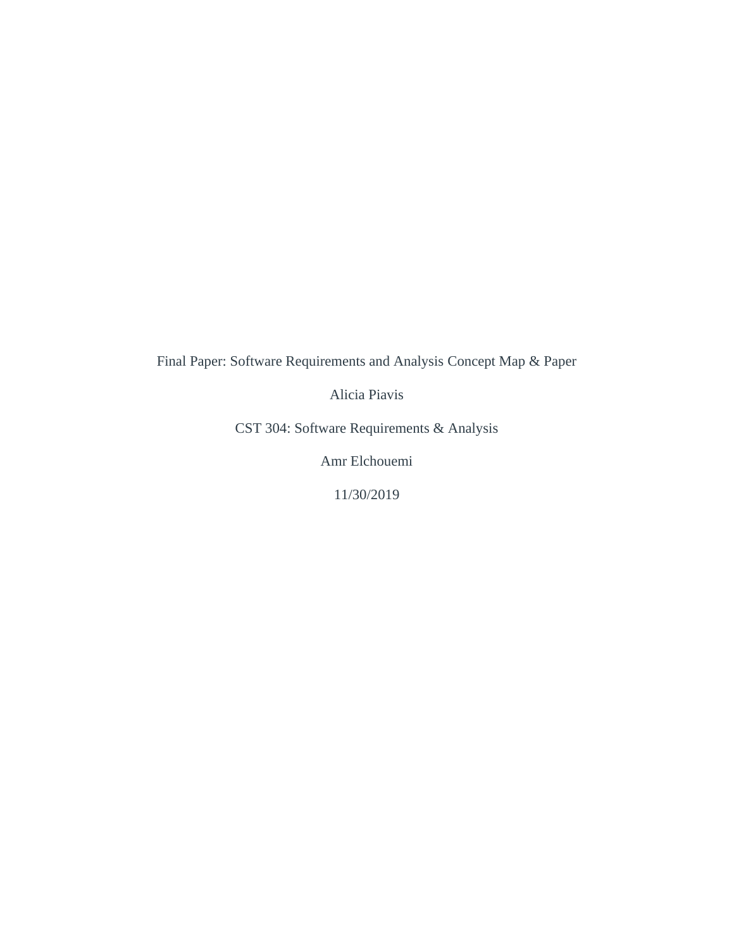Final Paper: Software Requirements and Analysis Concept Map & Paper

Alicia Piavis

CST 304: Software Requirements & Analysis

Amr Elchouemi

11/30/2019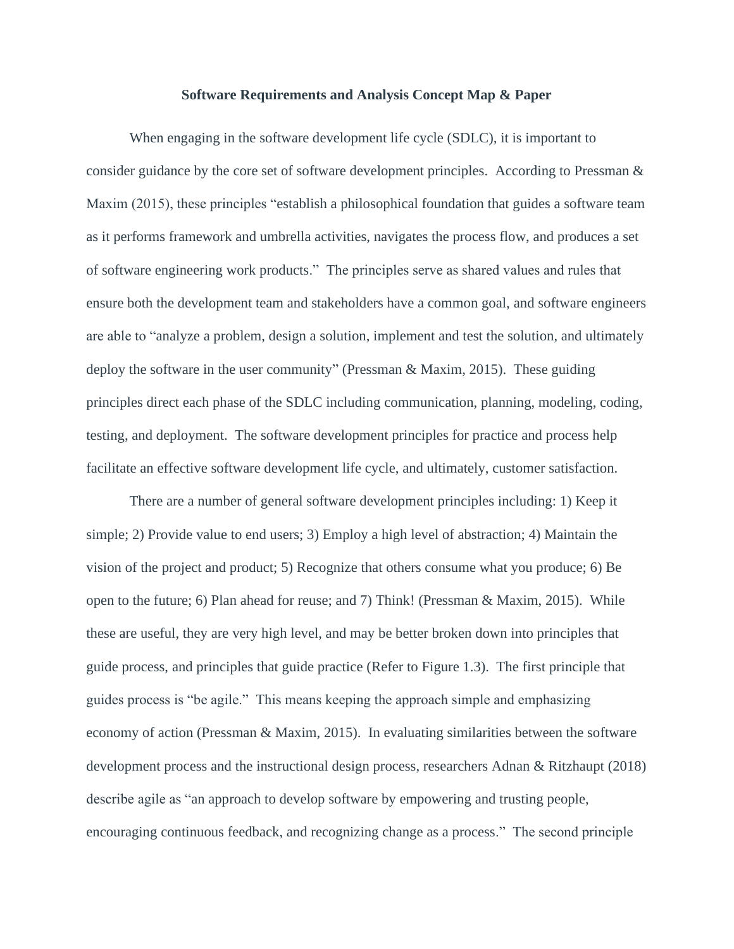## **Software Requirements and Analysis Concept Map & Paper**

When engaging in the software development life cycle (SDLC), it is important to consider guidance by the core set of software development principles. According to Pressman & Maxim (2015), these principles "establish a philosophical foundation that guides a software team as it performs framework and umbrella activities, navigates the process flow, and produces a set of software engineering work products." The principles serve as shared values and rules that ensure both the development team and stakeholders have a common goal, and software engineers are able to "analyze a problem, design a solution, implement and test the solution, and ultimately deploy the software in the user community" (Pressman & Maxim, 2015). These guiding principles direct each phase of the SDLC including communication, planning, modeling, coding, testing, and deployment. The software development principles for practice and process help facilitate an effective software development life cycle, and ultimately, customer satisfaction.

There are a number of general software development principles including: 1) Keep it simple; 2) Provide value to end users; 3) Employ a high level of abstraction; 4) Maintain the vision of the project and product; 5) Recognize that others consume what you produce; 6) Be open to the future; 6) Plan ahead for reuse; and 7) Think! (Pressman & Maxim, 2015). While these are useful, they are very high level, and may be better broken down into principles that guide process, and principles that guide practice (Refer to Figure 1.3). The first principle that guides process is "be agile." This means keeping the approach simple and emphasizing economy of action (Pressman & Maxim, 2015). In evaluating similarities between the software development process and the instructional design process, researchers Adnan & Ritzhaupt (2018) describe agile as "an approach to develop software by empowering and trusting people, encouraging continuous feedback, and recognizing change as a process." The second principle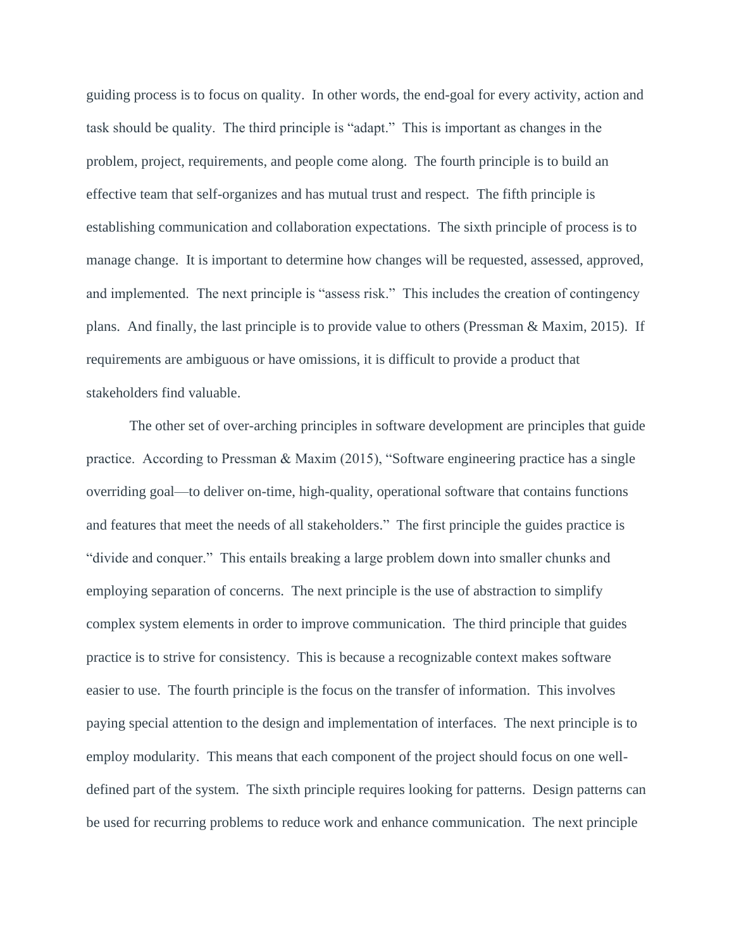guiding process is to focus on quality. In other words, the end-goal for every activity, action and task should be quality. The third principle is "adapt." This is important as changes in the problem, project, requirements, and people come along. The fourth principle is to build an effective team that self-organizes and has mutual trust and respect. The fifth principle is establishing communication and collaboration expectations. The sixth principle of process is to manage change. It is important to determine how changes will be requested, assessed, approved, and implemented. The next principle is "assess risk." This includes the creation of contingency plans. And finally, the last principle is to provide value to others (Pressman  $\&$  Maxim, 2015). If requirements are ambiguous or have omissions, it is difficult to provide a product that stakeholders find valuable.

The other set of over-arching principles in software development are principles that guide practice. According to Pressman & Maxim (2015), "Software engineering practice has a single overriding goal—to deliver on-time, high-quality, operational software that contains functions and features that meet the needs of all stakeholders." The first principle the guides practice is "divide and conquer." This entails breaking a large problem down into smaller chunks and employing separation of concerns. The next principle is the use of abstraction to simplify complex system elements in order to improve communication. The third principle that guides practice is to strive for consistency. This is because a recognizable context makes software easier to use. The fourth principle is the focus on the transfer of information. This involves paying special attention to the design and implementation of interfaces. The next principle is to employ modularity. This means that each component of the project should focus on one welldefined part of the system. The sixth principle requires looking for patterns. Design patterns can be used for recurring problems to reduce work and enhance communication. The next principle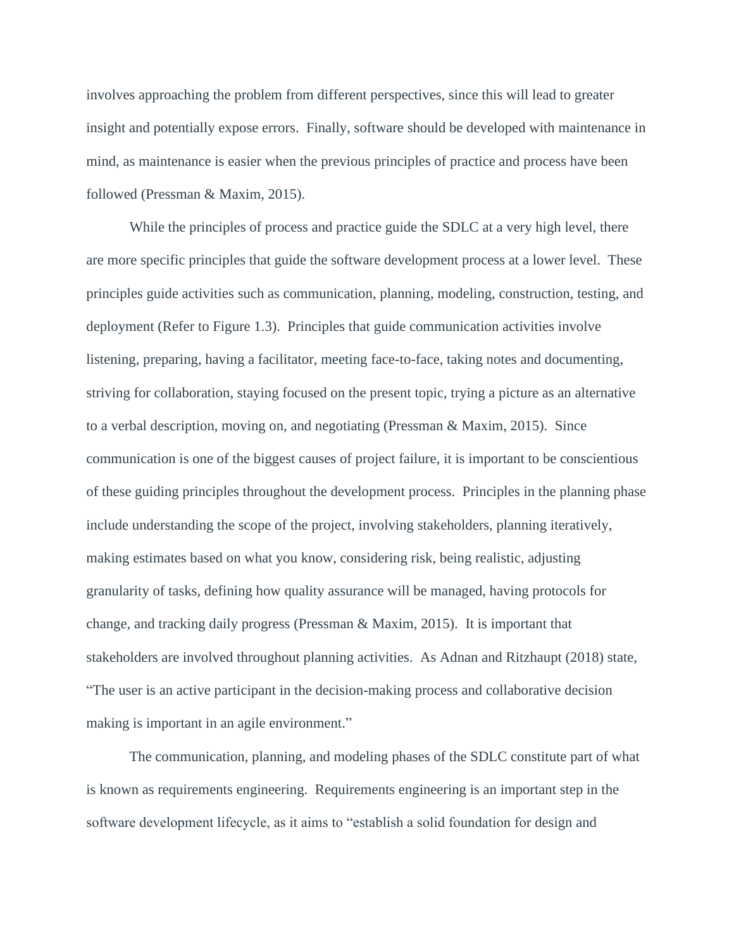involves approaching the problem from different perspectives, since this will lead to greater insight and potentially expose errors. Finally, software should be developed with maintenance in mind, as maintenance is easier when the previous principles of practice and process have been followed (Pressman & Maxim, 2015).

While the principles of process and practice guide the SDLC at a very high level, there are more specific principles that guide the software development process at a lower level. These principles guide activities such as communication, planning, modeling, construction, testing, and deployment (Refer to Figure 1.3). Principles that guide communication activities involve listening, preparing, having a facilitator, meeting face-to-face, taking notes and documenting, striving for collaboration, staying focused on the present topic, trying a picture as an alternative to a verbal description, moving on, and negotiating (Pressman & Maxim, 2015). Since communication is one of the biggest causes of project failure, it is important to be conscientious of these guiding principles throughout the development process. Principles in the planning phase include understanding the scope of the project, involving stakeholders, planning iteratively, making estimates based on what you know, considering risk, being realistic, adjusting granularity of tasks, defining how quality assurance will be managed, having protocols for change, and tracking daily progress (Pressman & Maxim, 2015). It is important that stakeholders are involved throughout planning activities. As Adnan and Ritzhaupt (2018) state, "The user is an active participant in the decision-making process and collaborative decision making is important in an agile environment."

The communication, planning, and modeling phases of the SDLC constitute part of what is known as requirements engineering. Requirements engineering is an important step in the software development lifecycle, as it aims to "establish a solid foundation for design and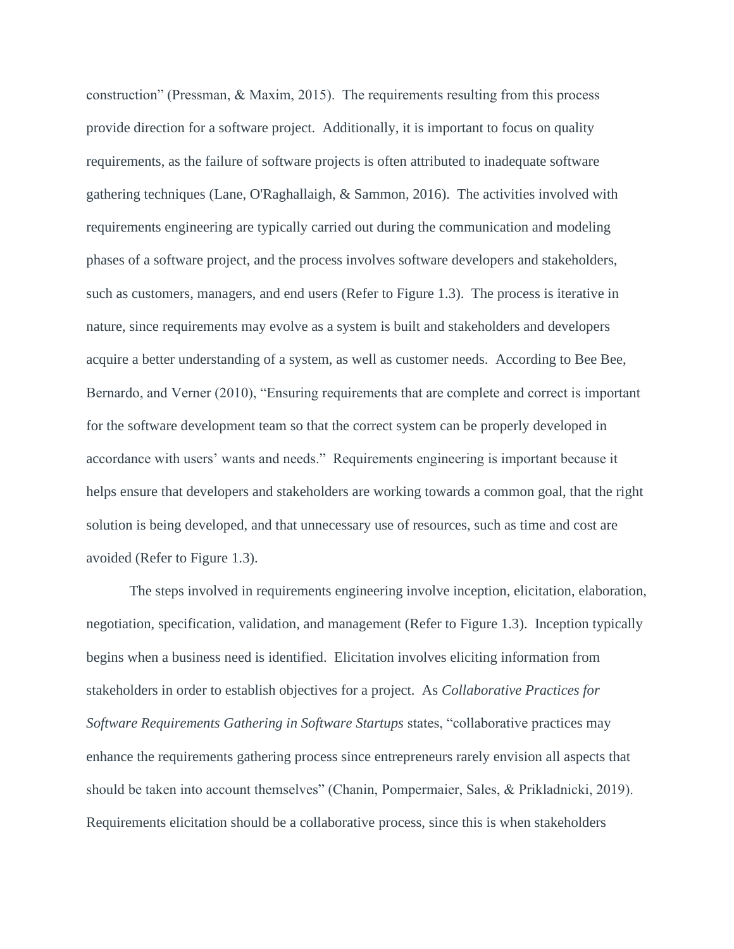construction" (Pressman, & Maxim, 2015). The requirements resulting from this process provide direction for a software project. Additionally, it is important to focus on quality requirements, as the failure of software projects is often attributed to inadequate software gathering techniques (Lane, O'Raghallaigh, & Sammon, 2016). The activities involved with requirements engineering are typically carried out during the communication and modeling phases of a software project, and the process involves software developers and stakeholders, such as customers, managers, and end users (Refer to Figure 1.3). The process is iterative in nature, since requirements may evolve as a system is built and stakeholders and developers acquire a better understanding of a system, as well as customer needs. According to Bee Bee, Bernardo, and Verner (2010), "Ensuring requirements that are complete and correct is important for the software development team so that the correct system can be properly developed in accordance with users' wants and needs." Requirements engineering is important because it helps ensure that developers and stakeholders are working towards a common goal, that the right solution is being developed, and that unnecessary use of resources, such as time and cost are avoided (Refer to Figure 1.3).

The steps involved in requirements engineering involve inception, elicitation, elaboration, negotiation, specification, validation, and management (Refer to Figure 1.3). Inception typically begins when a business need is identified. Elicitation involves eliciting information from stakeholders in order to establish objectives for a project. As *Collaborative Practices for Software Requirements Gathering in Software Startups* states, "collaborative practices may enhance the requirements gathering process since entrepreneurs rarely envision all aspects that should be taken into account themselves" (Chanin, Pompermaier, Sales, & Prikladnicki, 2019). Requirements elicitation should be a collaborative process, since this is when stakeholders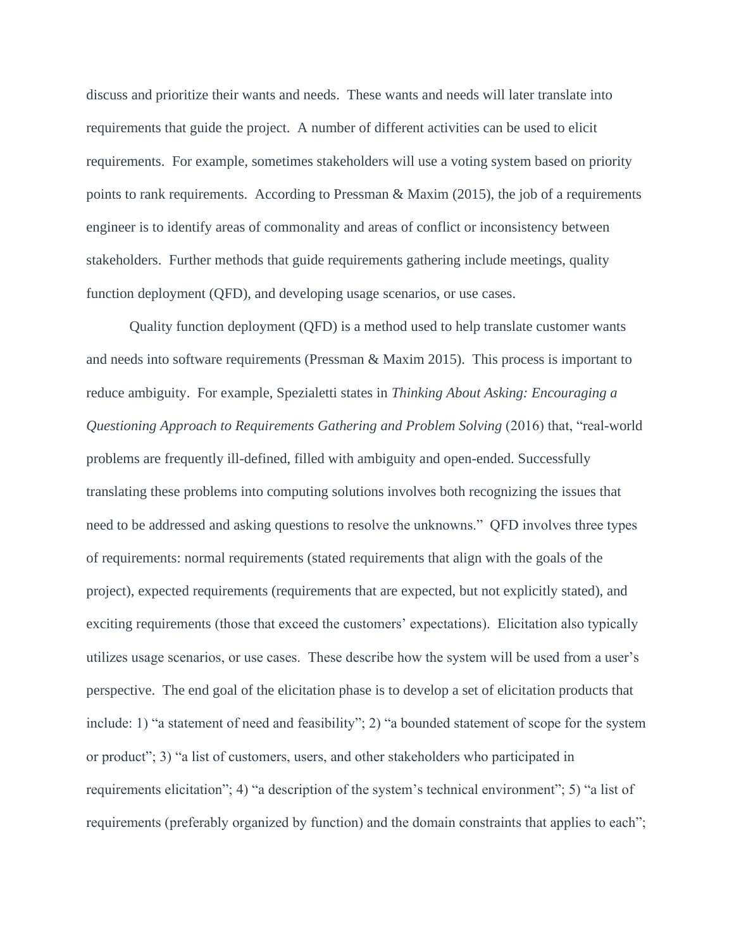discuss and prioritize their wants and needs. These wants and needs will later translate into requirements that guide the project. A number of different activities can be used to elicit requirements. For example, sometimes stakeholders will use a voting system based on priority points to rank requirements. According to Pressman & Maxim (2015), the job of a requirements engineer is to identify areas of commonality and areas of conflict or inconsistency between stakeholders. Further methods that guide requirements gathering include meetings, quality function deployment (QFD), and developing usage scenarios, or use cases.

Quality function deployment (QFD) is a method used to help translate customer wants and needs into software requirements (Pressman & Maxim 2015). This process is important to reduce ambiguity. For example, Spezialetti states in *Thinking About Asking: Encouraging a Questioning Approach to Requirements Gathering and Problem Solving* (2016) that, "real-world problems are frequently ill-defined, filled with ambiguity and open-ended. Successfully translating these problems into computing solutions involves both recognizing the issues that need to be addressed and asking questions to resolve the unknowns." QFD involves three types of requirements: normal requirements (stated requirements that align with the goals of the project), expected requirements (requirements that are expected, but not explicitly stated), and exciting requirements (those that exceed the customers' expectations). Elicitation also typically utilizes usage scenarios, or use cases. These describe how the system will be used from a user's perspective. The end goal of the elicitation phase is to develop a set of elicitation products that include: 1) "a statement of need and feasibility"; 2) "a bounded statement of scope for the system or product"; 3) "a list of customers, users, and other stakeholders who participated in requirements elicitation"; 4) "a description of the system's technical environment"; 5) "a list of requirements (preferably organized by function) and the domain constraints that applies to each";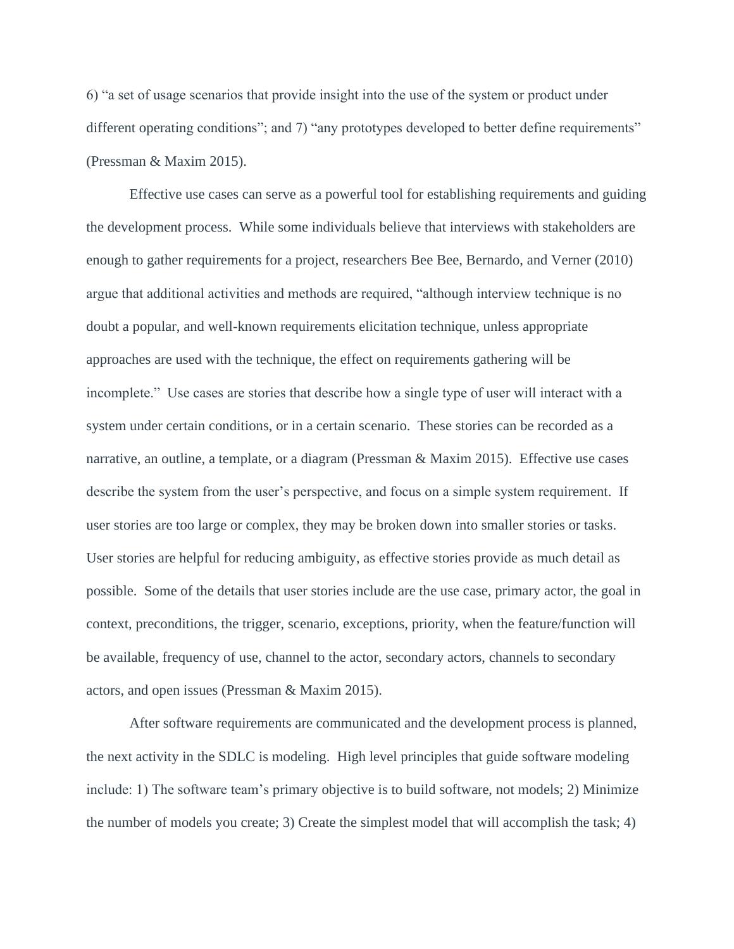6) "a set of usage scenarios that provide insight into the use of the system or product under different operating conditions"; and 7) "any prototypes developed to better define requirements" (Pressman & Maxim 2015).

Effective use cases can serve as a powerful tool for establishing requirements and guiding the development process. While some individuals believe that interviews with stakeholders are enough to gather requirements for a project, researchers Bee Bee, Bernardo, and Verner (2010) argue that additional activities and methods are required, "although interview technique is no doubt a popular, and well-known requirements elicitation technique, unless appropriate approaches are used with the technique, the effect on requirements gathering will be incomplete." Use cases are stories that describe how a single type of user will interact with a system under certain conditions, or in a certain scenario. These stories can be recorded as a narrative, an outline, a template, or a diagram (Pressman & Maxim 2015). Effective use cases describe the system from the user's perspective, and focus on a simple system requirement. If user stories are too large or complex, they may be broken down into smaller stories or tasks. User stories are helpful for reducing ambiguity, as effective stories provide as much detail as possible. Some of the details that user stories include are the use case, primary actor, the goal in context, preconditions, the trigger, scenario, exceptions, priority, when the feature/function will be available, frequency of use, channel to the actor, secondary actors, channels to secondary actors, and open issues (Pressman & Maxim 2015).

After software requirements are communicated and the development process is planned, the next activity in the SDLC is modeling. High level principles that guide software modeling include: 1) The software team's primary objective is to build software, not models; 2) Minimize the number of models you create; 3) Create the simplest model that will accomplish the task; 4)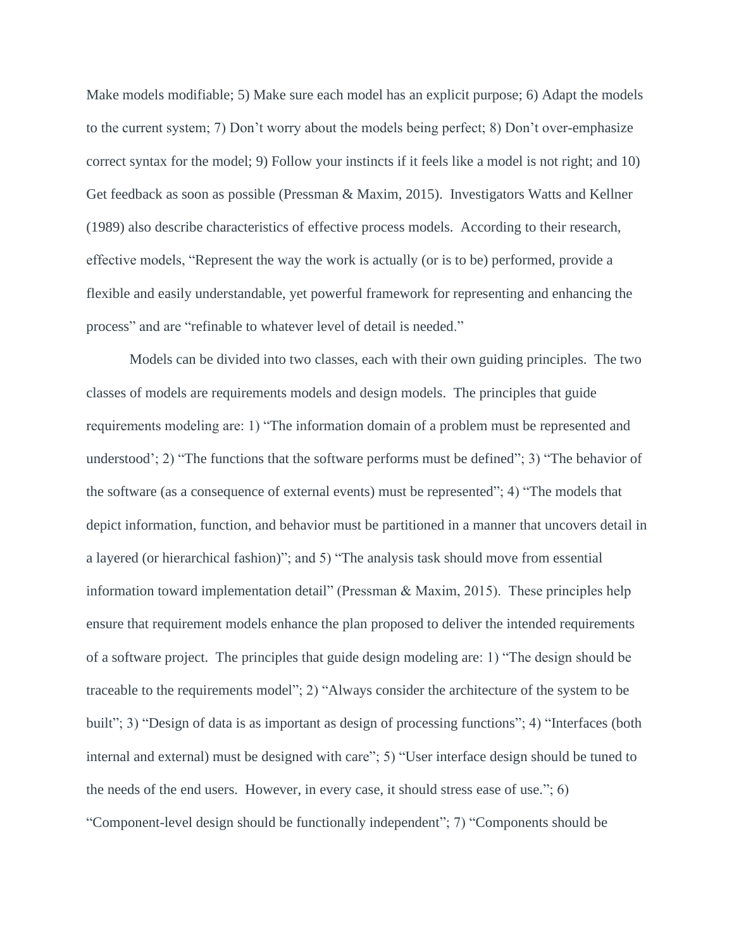Make models modifiable; 5) Make sure each model has an explicit purpose; 6) Adapt the models to the current system; 7) Don't worry about the models being perfect; 8) Don't over-emphasize correct syntax for the model; 9) Follow your instincts if it feels like a model is not right; and 10) Get feedback as soon as possible (Pressman & Maxim, 2015). Investigators Watts and Kellner (1989) also describe characteristics of effective process models. According to their research, effective models, "Represent the way the work is actually (or is to be) performed, provide a flexible and easily understandable, yet powerful framework for representing and enhancing the process" and are "refinable to whatever level of detail is needed."

Models can be divided into two classes, each with their own guiding principles. The two classes of models are requirements models and design models. The principles that guide requirements modeling are: 1) "The information domain of a problem must be represented and understood'; 2) "The functions that the software performs must be defined"; 3) "The behavior of the software (as a consequence of external events) must be represented"; 4) "The models that depict information, function, and behavior must be partitioned in a manner that uncovers detail in a layered (or hierarchical fashion)"; and 5) "The analysis task should move from essential information toward implementation detail" (Pressman & Maxim, 2015). These principles help ensure that requirement models enhance the plan proposed to deliver the intended requirements of a software project. The principles that guide design modeling are: 1) "The design should be traceable to the requirements model"; 2) "Always consider the architecture of the system to be built"; 3) "Design of data is as important as design of processing functions"; 4) "Interfaces (both internal and external) must be designed with care"; 5) "User interface design should be tuned to the needs of the end users. However, in every case, it should stress ease of use."; 6) "Component-level design should be functionally independent"; 7) "Components should be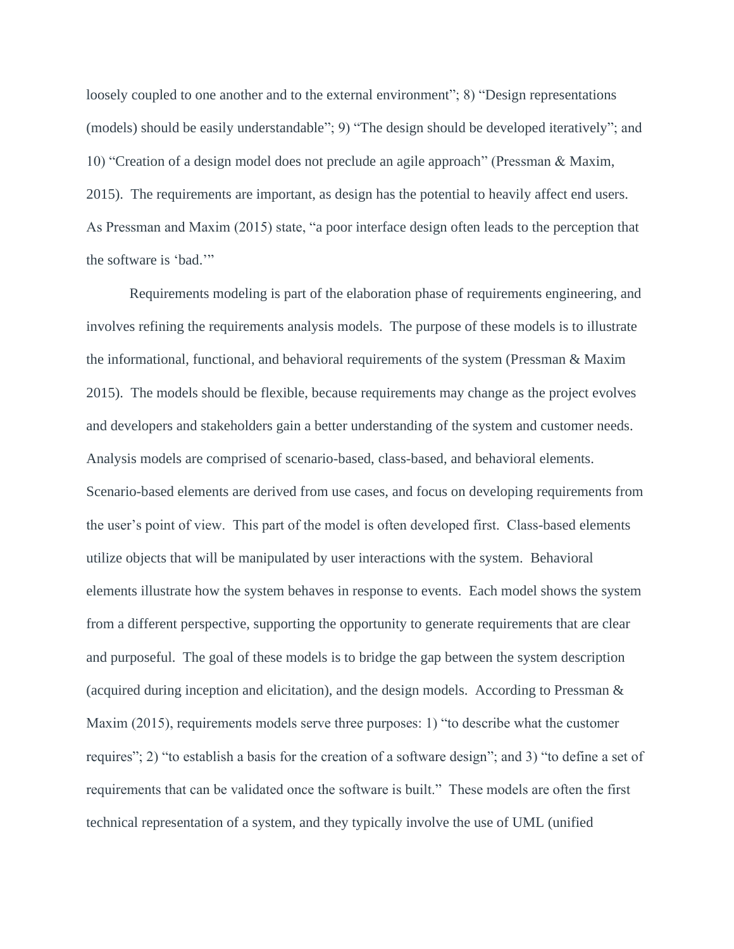loosely coupled to one another and to the external environment"; 8) "Design representations (models) should be easily understandable"; 9) "The design should be developed iteratively"; and 10) "Creation of a design model does not preclude an agile approach" (Pressman & Maxim, 2015). The requirements are important, as design has the potential to heavily affect end users. As Pressman and Maxim (2015) state, "a poor interface design often leads to the perception that the software is 'bad.'"

Requirements modeling is part of the elaboration phase of requirements engineering, and involves refining the requirements analysis models. The purpose of these models is to illustrate the informational, functional, and behavioral requirements of the system (Pressman & Maxim 2015). The models should be flexible, because requirements may change as the project evolves and developers and stakeholders gain a better understanding of the system and customer needs. Analysis models are comprised of scenario-based, class-based, and behavioral elements. Scenario-based elements are derived from use cases, and focus on developing requirements from the user's point of view. This part of the model is often developed first. Class-based elements utilize objects that will be manipulated by user interactions with the system. Behavioral elements illustrate how the system behaves in response to events. Each model shows the system from a different perspective, supporting the opportunity to generate requirements that are clear and purposeful. The goal of these models is to bridge the gap between the system description (acquired during inception and elicitation), and the design models. According to Pressman & Maxim (2015), requirements models serve three purposes: 1) "to describe what the customer requires"; 2) "to establish a basis for the creation of a software design"; and 3) "to define a set of requirements that can be validated once the software is built." These models are often the first technical representation of a system, and they typically involve the use of UML (unified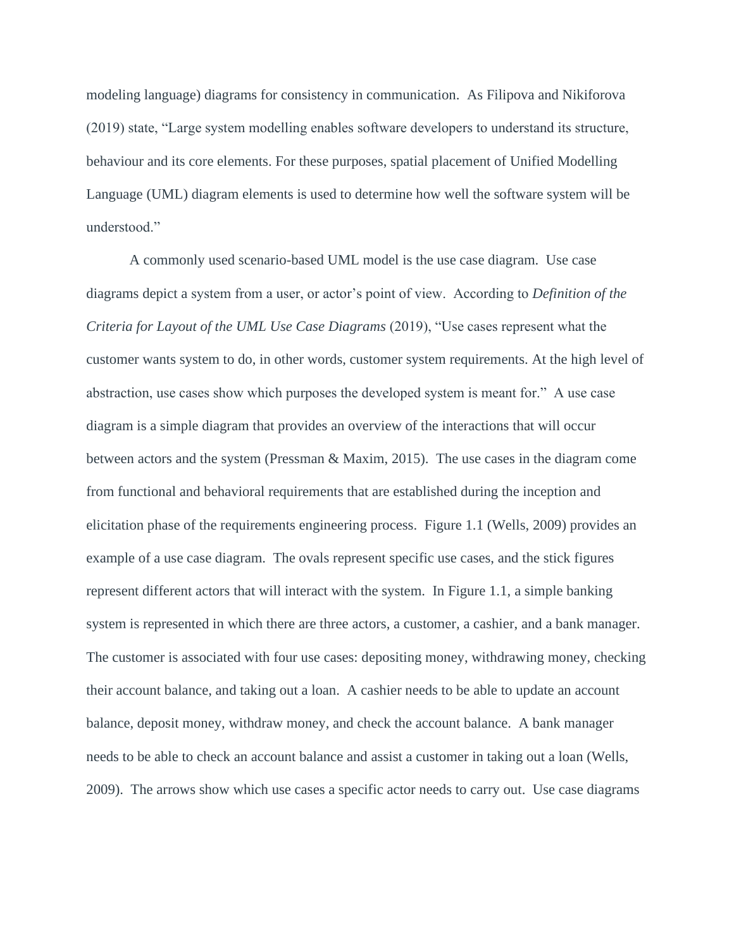modeling language) diagrams for consistency in communication. As Filipova and Nikiforova (2019) state, "Large system modelling enables software developers to understand its structure, behaviour and its core elements. For these purposes, spatial placement of Unified Modelling Language (UML) diagram elements is used to determine how well the software system will be understood."

A commonly used scenario-based UML model is the use case diagram. Use case diagrams depict a system from a user, or actor's point of view. According to *Definition of the Criteria for Layout of the UML Use Case Diagrams* (2019), "Use cases represent what the customer wants system to do, in other words, customer system requirements. At the high level of abstraction, use cases show which purposes the developed system is meant for." A use case diagram is a simple diagram that provides an overview of the interactions that will occur between actors and the system (Pressman & Maxim, 2015). The use cases in the diagram come from functional and behavioral requirements that are established during the inception and elicitation phase of the requirements engineering process. Figure 1.1 (Wells, 2009) provides an example of a use case diagram. The ovals represent specific use cases, and the stick figures represent different actors that will interact with the system. In Figure 1.1, a simple banking system is represented in which there are three actors, a customer, a cashier, and a bank manager. The customer is associated with four use cases: depositing money, withdrawing money, checking their account balance, and taking out a loan. A cashier needs to be able to update an account balance, deposit money, withdraw money, and check the account balance. A bank manager needs to be able to check an account balance and assist a customer in taking out a loan (Wells, 2009). The arrows show which use cases a specific actor needs to carry out. Use case diagrams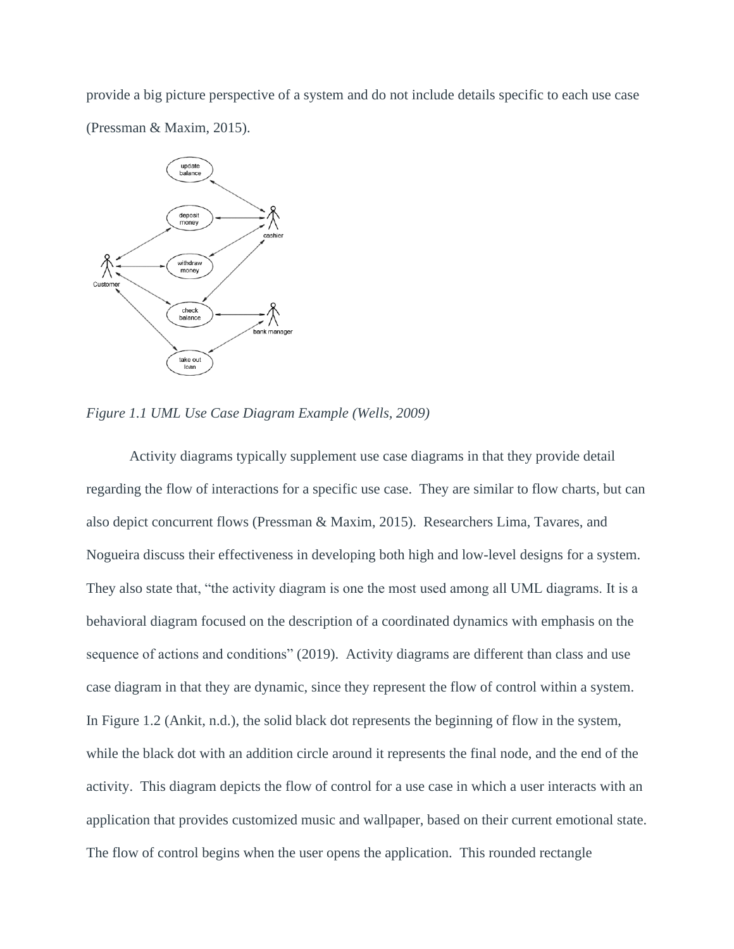provide a big picture perspective of a system and do not include details specific to each use case (Pressman & Maxim, 2015).



*Figure 1.1 UML Use Case Diagram Example (Wells, 2009)*

Activity diagrams typically supplement use case diagrams in that they provide detail regarding the flow of interactions for a specific use case. They are similar to flow charts, but can also depict concurrent flows (Pressman & Maxim, 2015). Researchers Lima, Tavares, and Nogueira discuss their effectiveness in developing both high and low-level designs for a system. They also state that, "the activity diagram is one the most used among all UML diagrams. It is a behavioral diagram focused on the description of a coordinated dynamics with emphasis on the sequence of actions and conditions" (2019). Activity diagrams are different than class and use case diagram in that they are dynamic, since they represent the flow of control within a system. In Figure 1.2 (Ankit, n.d.), the solid black dot represents the beginning of flow in the system, while the black dot with an addition circle around it represents the final node, and the end of the activity. This diagram depicts the flow of control for a use case in which a user interacts with an application that provides customized music and wallpaper, based on their current emotional state. The flow of control begins when the user opens the application. This rounded rectangle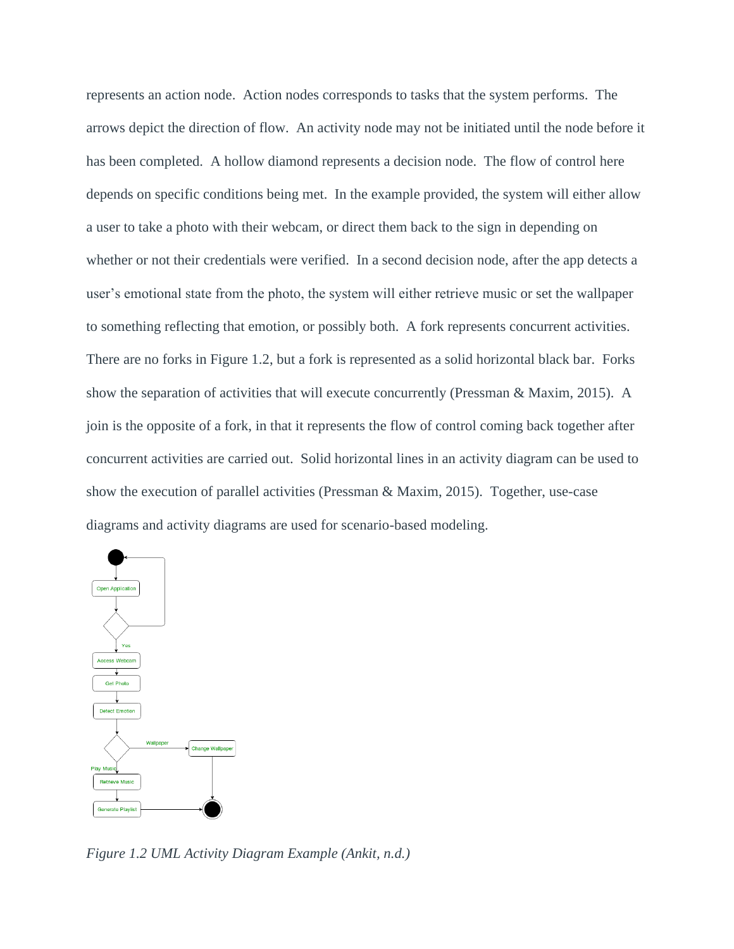represents an action node. Action nodes corresponds to tasks that the system performs. The arrows depict the direction of flow. An activity node may not be initiated until the node before it has been completed. A hollow diamond represents a decision node. The flow of control here depends on specific conditions being met. In the example provided, the system will either allow a user to take a photo with their webcam, or direct them back to the sign in depending on whether or not their credentials were verified. In a second decision node, after the app detects a user's emotional state from the photo, the system will either retrieve music or set the wallpaper to something reflecting that emotion, or possibly both. A fork represents concurrent activities. There are no forks in Figure 1.2, but a fork is represented as a solid horizontal black bar. Forks show the separation of activities that will execute concurrently (Pressman & Maxim, 2015). A join is the opposite of a fork, in that it represents the flow of control coming back together after concurrent activities are carried out. Solid horizontal lines in an activity diagram can be used to show the execution of parallel activities (Pressman & Maxim, 2015). Together, use-case diagrams and activity diagrams are used for scenario-based modeling.



*Figure 1.2 UML Activity Diagram Example (Ankit, n.d.)*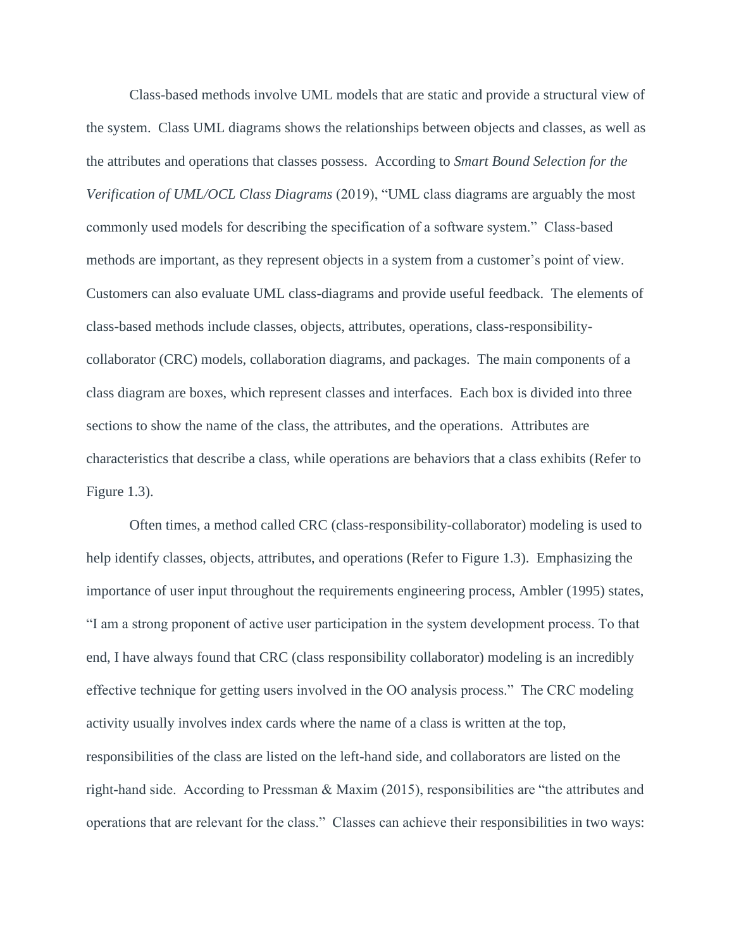Class-based methods involve UML models that are static and provide a structural view of the system. Class UML diagrams shows the relationships between objects and classes, as well as the attributes and operations that classes possess. According to *Smart Bound Selection for the Verification of UML/OCL Class Diagrams* (2019), "UML class diagrams are arguably the most commonly used models for describing the specification of a software system." Class-based methods are important, as they represent objects in a system from a customer's point of view. Customers can also evaluate UML class-diagrams and provide useful feedback. The elements of class-based methods include classes, objects, attributes, operations, class-responsibilitycollaborator (CRC) models, collaboration diagrams, and packages. The main components of a class diagram are boxes, which represent classes and interfaces. Each box is divided into three sections to show the name of the class, the attributes, and the operations. Attributes are characteristics that describe a class, while operations are behaviors that a class exhibits (Refer to Figure 1.3).

Often times, a method called CRC (class-responsibility-collaborator) modeling is used to help identify classes, objects, attributes, and operations (Refer to Figure 1.3). Emphasizing the importance of user input throughout the requirements engineering process, Ambler (1995) states, "I am a strong proponent of active user participation in the system development process. To that end, I have always found that CRC (class responsibility collaborator) modeling is an incredibly effective technique for getting users involved in the OO analysis process." The CRC modeling activity usually involves index cards where the name of a class is written at the top, responsibilities of the class are listed on the left-hand side, and collaborators are listed on the right-hand side. According to Pressman & Maxim (2015), responsibilities are "the attributes and operations that are relevant for the class." Classes can achieve their responsibilities in two ways: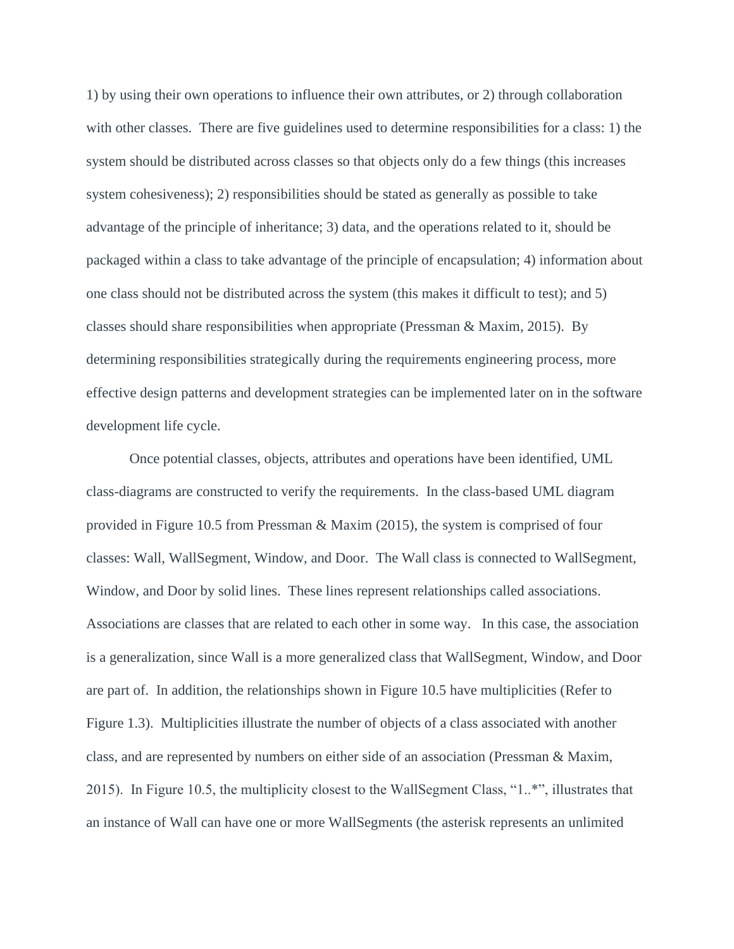1) by using their own operations to influence their own attributes, or 2) through collaboration with other classes. There are five guidelines used to determine responsibilities for a class: 1) the system should be distributed across classes so that objects only do a few things (this increases system cohesiveness); 2) responsibilities should be stated as generally as possible to take advantage of the principle of inheritance; 3) data, and the operations related to it, should be packaged within a class to take advantage of the principle of encapsulation; 4) information about one class should not be distributed across the system (this makes it difficult to test); and 5) classes should share responsibilities when appropriate (Pressman & Maxim, 2015). By determining responsibilities strategically during the requirements engineering process, more effective design patterns and development strategies can be implemented later on in the software development life cycle.

Once potential classes, objects, attributes and operations have been identified, UML class-diagrams are constructed to verify the requirements. In the class-based UML diagram provided in Figure 10.5 from Pressman & Maxim (2015), the system is comprised of four classes: Wall, WallSegment, Window, and Door. The Wall class is connected to WallSegment, Window, and Door by solid lines. These lines represent relationships called associations. Associations are classes that are related to each other in some way. In this case, the association is a generalization, since Wall is a more generalized class that WallSegment, Window, and Door are part of. In addition, the relationships shown in Figure 10.5 have multiplicities (Refer to Figure 1.3). Multiplicities illustrate the number of objects of a class associated with another class, and are represented by numbers on either side of an association (Pressman & Maxim, 2015). In Figure 10.5, the multiplicity closest to the WallSegment Class, "1..\*", illustrates that an instance of Wall can have one or more WallSegments (the asterisk represents an unlimited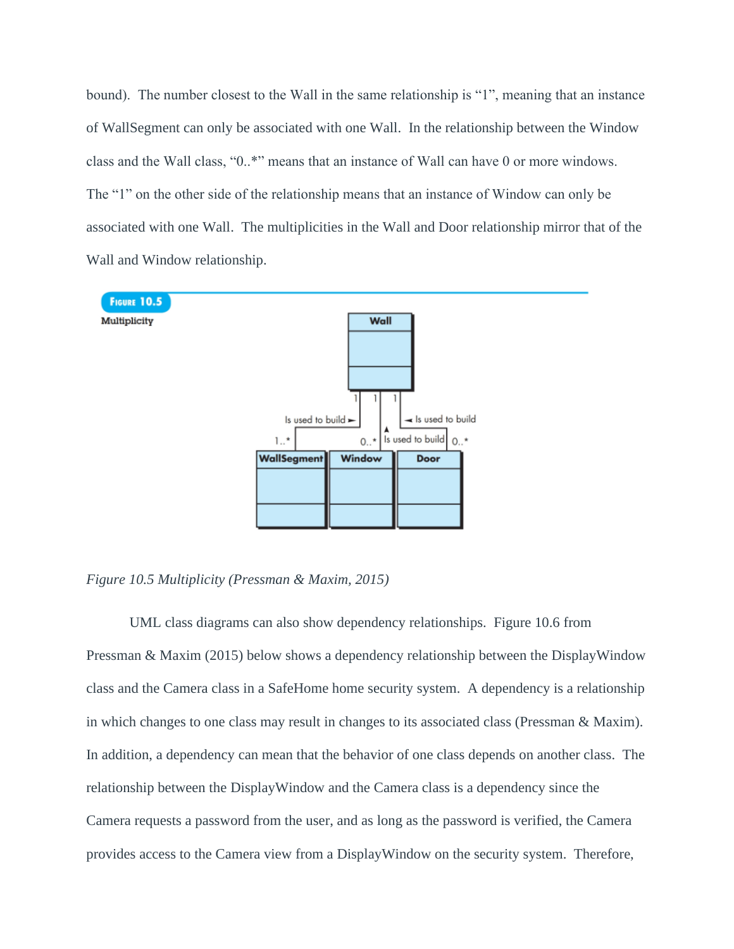bound). The number closest to the Wall in the same relationship is "1", meaning that an instance of WallSegment can only be associated with one Wall. In the relationship between the Window class and the Wall class, "0..\*" means that an instance of Wall can have 0 or more windows. The "1" on the other side of the relationship means that an instance of Window can only be associated with one Wall. The multiplicities in the Wall and Door relationship mirror that of the Wall and Window relationship.



*Figure 10.5 Multiplicity (Pressman & Maxim, 2015)*

UML class diagrams can also show dependency relationships. Figure 10.6 from Pressman & Maxim (2015) below shows a dependency relationship between the DisplayWindow class and the Camera class in a SafeHome home security system. A dependency is a relationship in which changes to one class may result in changes to its associated class (Pressman & Maxim). In addition, a dependency can mean that the behavior of one class depends on another class. The relationship between the DisplayWindow and the Camera class is a dependency since the Camera requests a password from the user, and as long as the password is verified, the Camera provides access to the Camera view from a DisplayWindow on the security system. Therefore,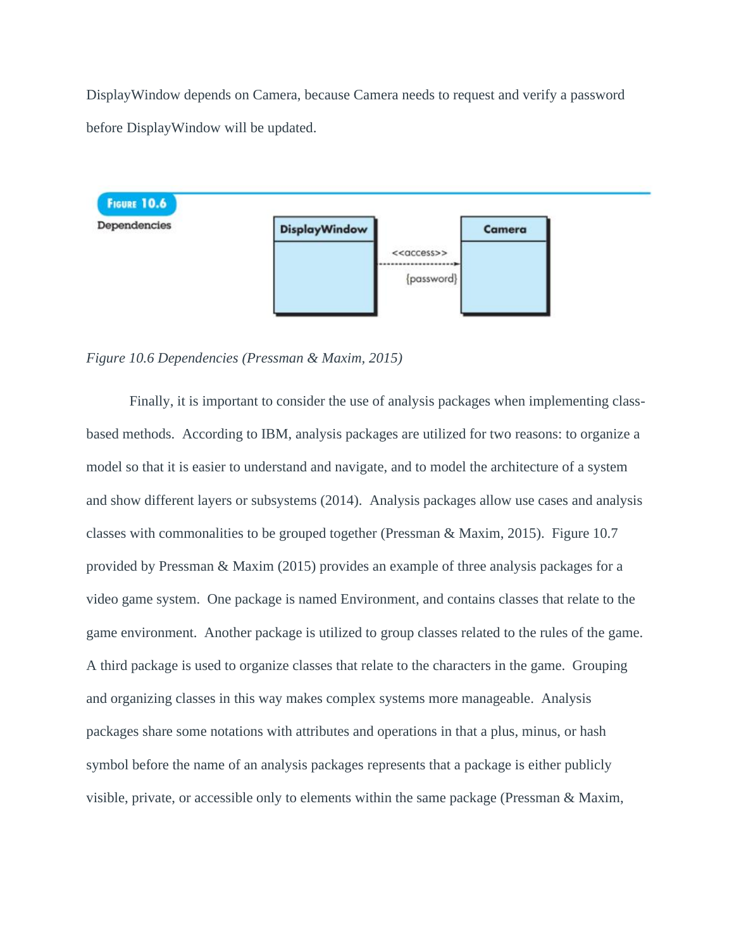DisplayWindow depends on Camera, because Camera needs to request and verify a password before DisplayWindow will be updated.



*Figure 10.6 Dependencies (Pressman & Maxim, 2015)*

Finally, it is important to consider the use of analysis packages when implementing classbased methods. According to IBM, analysis packages are utilized for two reasons: to organize a model so that it is easier to understand and navigate, and to model the architecture of a system and show different layers or subsystems (2014). Analysis packages allow use cases and analysis classes with commonalities to be grouped together (Pressman & Maxim, 2015). Figure 10.7 provided by Pressman & Maxim (2015) provides an example of three analysis packages for a video game system. One package is named Environment, and contains classes that relate to the game environment. Another package is utilized to group classes related to the rules of the game. A third package is used to organize classes that relate to the characters in the game. Grouping and organizing classes in this way makes complex systems more manageable. Analysis packages share some notations with attributes and operations in that a plus, minus, or hash symbol before the name of an analysis packages represents that a package is either publicly visible, private, or accessible only to elements within the same package (Pressman & Maxim,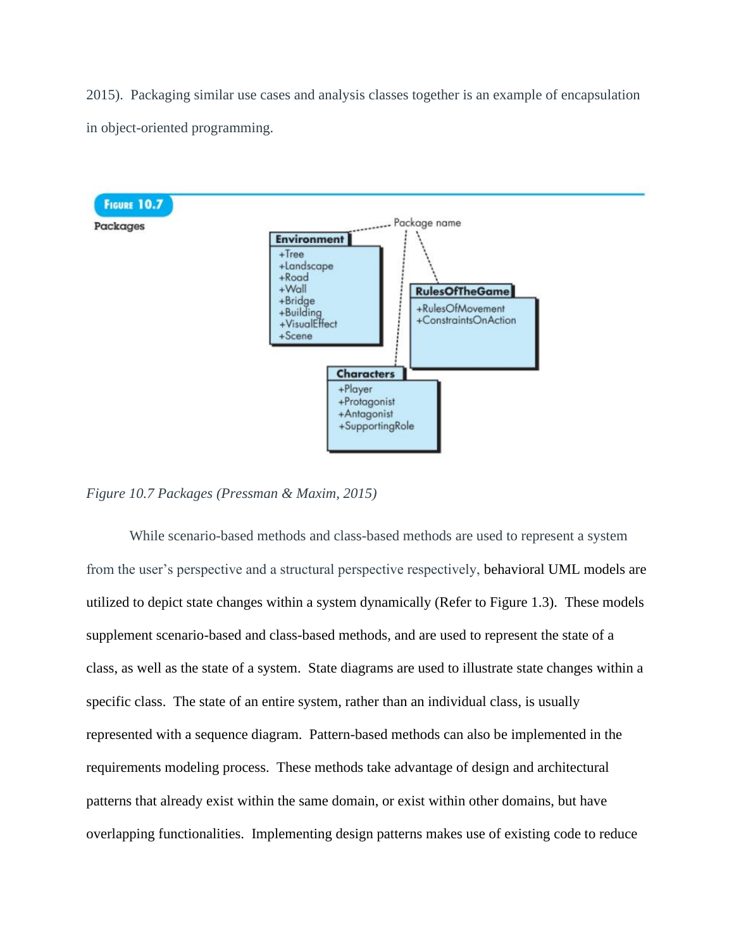2015). Packaging similar use cases and analysis classes together is an example of encapsulation in object-oriented programming.



*Figure 10.7 Packages (Pressman & Maxim, 2015)*

While scenario-based methods and class-based methods are used to represent a system from the user's perspective and a structural perspective respectively, behavioral UML models are utilized to depict state changes within a system dynamically (Refer to Figure 1.3). These models supplement scenario-based and class-based methods, and are used to represent the state of a class, as well as the state of a system. State diagrams are used to illustrate state changes within a specific class. The state of an entire system, rather than an individual class, is usually represented with a sequence diagram. Pattern-based methods can also be implemented in the requirements modeling process. These methods take advantage of design and architectural patterns that already exist within the same domain, or exist within other domains, but have overlapping functionalities. Implementing design patterns makes use of existing code to reduce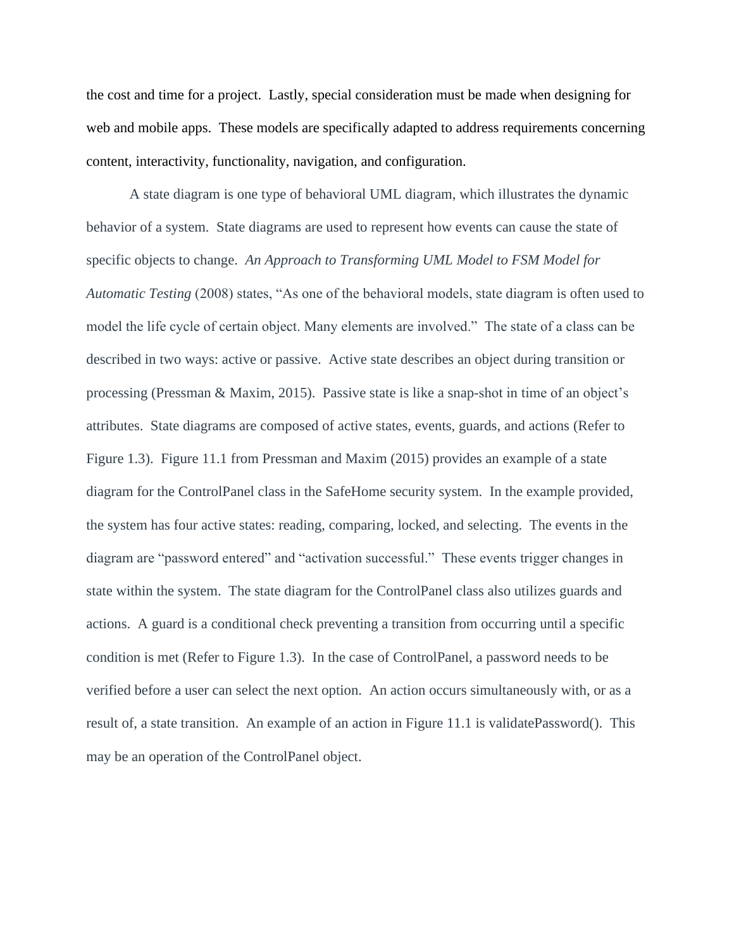the cost and time for a project. Lastly, special consideration must be made when designing for web and mobile apps. These models are specifically adapted to address requirements concerning content, interactivity, functionality, navigation, and configuration.

A state diagram is one type of behavioral UML diagram, which illustrates the dynamic behavior of a system. State diagrams are used to represent how events can cause the state of specific objects to change. *An Approach to Transforming UML Model to FSM Model for Automatic Testing* (2008) states, "As one of the behavioral models, state diagram is often used to model the life cycle of certain object. Many elements are involved." The state of a class can be described in two ways: active or passive. Active state describes an object during transition or processing (Pressman & Maxim, 2015). Passive state is like a snap-shot in time of an object's attributes. State diagrams are composed of active states, events, guards, and actions (Refer to Figure 1.3). Figure 11.1 from Pressman and Maxim (2015) provides an example of a state diagram for the ControlPanel class in the SafeHome security system. In the example provided, the system has four active states: reading, comparing, locked, and selecting. The events in the diagram are "password entered" and "activation successful." These events trigger changes in state within the system. The state diagram for the ControlPanel class also utilizes guards and actions. A guard is a conditional check preventing a transition from occurring until a specific condition is met (Refer to Figure 1.3). In the case of ControlPanel, a password needs to be verified before a user can select the next option. An action occurs simultaneously with, or as a result of, a state transition. An example of an action in Figure 11.1 is validatePassword(). This may be an operation of the ControlPanel object.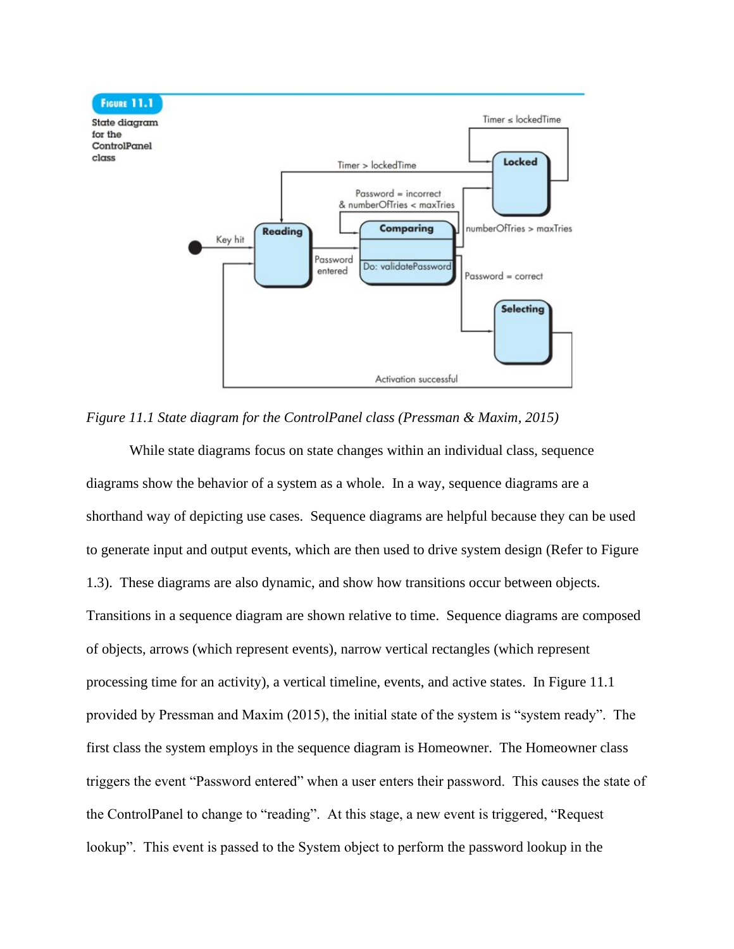

*Figure 11.1 State diagram for the ControlPanel class (Pressman & Maxim, 2015)*

While state diagrams focus on state changes within an individual class, sequence diagrams show the behavior of a system as a whole. In a way, sequence diagrams are a shorthand way of depicting use cases. Sequence diagrams are helpful because they can be used to generate input and output events, which are then used to drive system design (Refer to Figure 1.3). These diagrams are also dynamic, and show how transitions occur between objects. Transitions in a sequence diagram are shown relative to time. Sequence diagrams are composed of objects, arrows (which represent events), narrow vertical rectangles (which represent processing time for an activity), a vertical timeline, events, and active states. In Figure 11.1 provided by Pressman and Maxim (2015), the initial state of the system is "system ready". The first class the system employs in the sequence diagram is Homeowner. The Homeowner class triggers the event "Password entered" when a user enters their password. This causes the state of the ControlPanel to change to "reading". At this stage, a new event is triggered, "Request lookup". This event is passed to the System object to perform the password lookup in the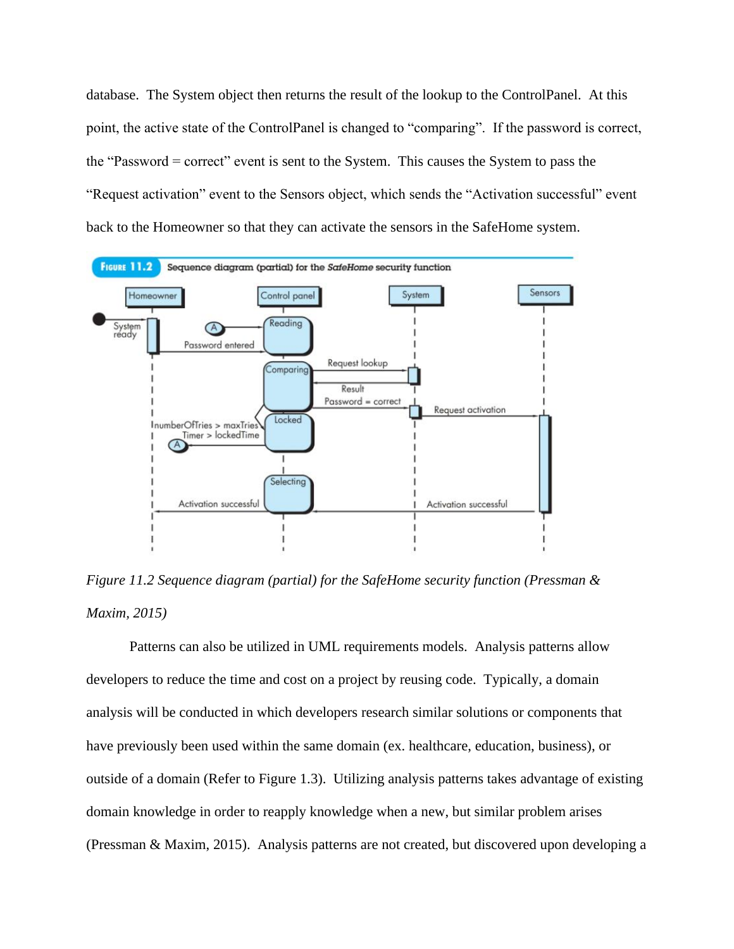database. The System object then returns the result of the lookup to the ControlPanel. At this point, the active state of the ControlPanel is changed to "comparing". If the password is correct, the "Password = correct" event is sent to the System. This causes the System to pass the "Request activation" event to the Sensors object, which sends the "Activation successful" event back to the Homeowner so that they can activate the sensors in the SafeHome system.



*Figure 11.2 Sequence diagram (partial) for the SafeHome security function (Pressman & Maxim, 2015)*

Patterns can also be utilized in UML requirements models. Analysis patterns allow developers to reduce the time and cost on a project by reusing code. Typically, a domain analysis will be conducted in which developers research similar solutions or components that have previously been used within the same domain (ex. healthcare, education, business), or outside of a domain (Refer to Figure 1.3). Utilizing analysis patterns takes advantage of existing domain knowledge in order to reapply knowledge when a new, but similar problem arises (Pressman & Maxim, 2015). Analysis patterns are not created, but discovered upon developing a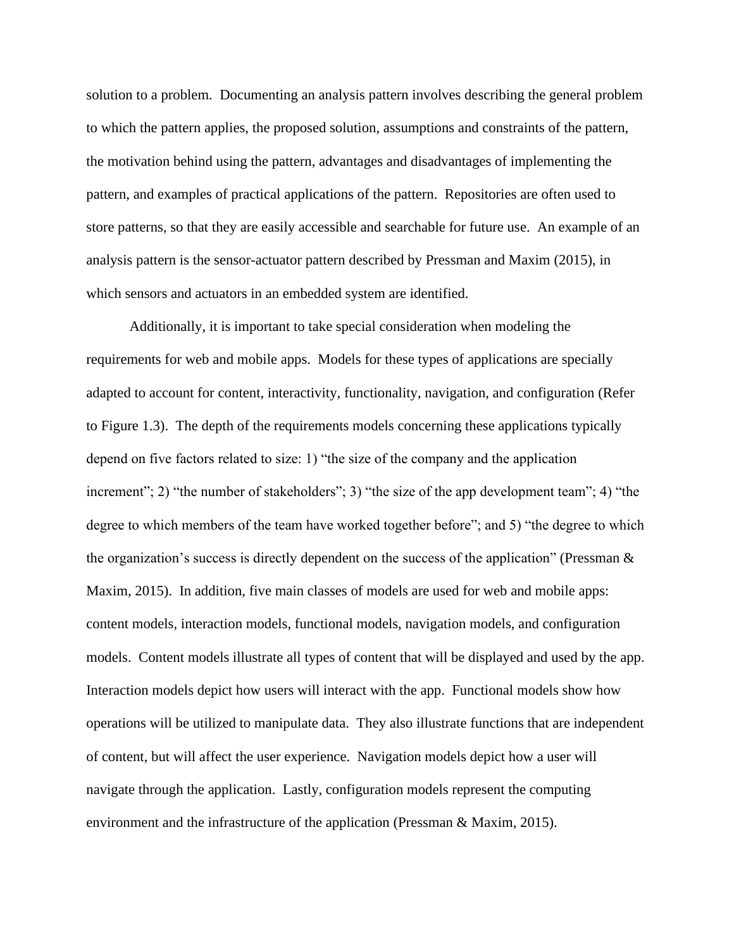solution to a problem. Documenting an analysis pattern involves describing the general problem to which the pattern applies, the proposed solution, assumptions and constraints of the pattern, the motivation behind using the pattern, advantages and disadvantages of implementing the pattern, and examples of practical applications of the pattern. Repositories are often used to store patterns, so that they are easily accessible and searchable for future use. An example of an analysis pattern is the sensor-actuator pattern described by Pressman and Maxim (2015), in which sensors and actuators in an embedded system are identified.

Additionally, it is important to take special consideration when modeling the requirements for web and mobile apps. Models for these types of applications are specially adapted to account for content, interactivity, functionality, navigation, and configuration (Refer to Figure 1.3). The depth of the requirements models concerning these applications typically depend on five factors related to size: 1) "the size of the company and the application increment"; 2) "the number of stakeholders"; 3) "the size of the app development team"; 4) "the degree to which members of the team have worked together before"; and 5) "the degree to which the organization's success is directly dependent on the success of the application" (Pressman & Maxim, 2015). In addition, five main classes of models are used for web and mobile apps: content models, interaction models, functional models, navigation models, and configuration models. Content models illustrate all types of content that will be displayed and used by the app. Interaction models depict how users will interact with the app. Functional models show how operations will be utilized to manipulate data. They also illustrate functions that are independent of content, but will affect the user experience. Navigation models depict how a user will navigate through the application. Lastly, configuration models represent the computing environment and the infrastructure of the application (Pressman & Maxim, 2015).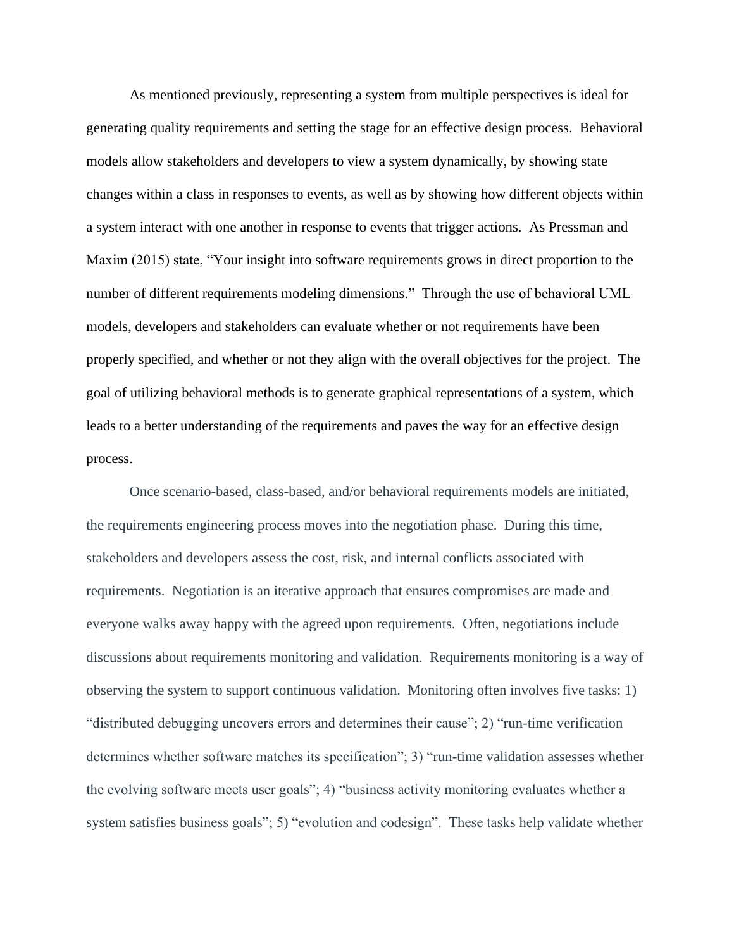As mentioned previously, representing a system from multiple perspectives is ideal for generating quality requirements and setting the stage for an effective design process. Behavioral models allow stakeholders and developers to view a system dynamically, by showing state changes within a class in responses to events, as well as by showing how different objects within a system interact with one another in response to events that trigger actions. As Pressman and Maxim (2015) state, "Your insight into software requirements grows in direct proportion to the number of different requirements modeling dimensions." Through the use of behavioral UML models, developers and stakeholders can evaluate whether or not requirements have been properly specified, and whether or not they align with the overall objectives for the project. The goal of utilizing behavioral methods is to generate graphical representations of a system, which leads to a better understanding of the requirements and paves the way for an effective design process.

Once scenario-based, class-based, and/or behavioral requirements models are initiated, the requirements engineering process moves into the negotiation phase. During this time, stakeholders and developers assess the cost, risk, and internal conflicts associated with requirements. Negotiation is an iterative approach that ensures compromises are made and everyone walks away happy with the agreed upon requirements. Often, negotiations include discussions about requirements monitoring and validation. Requirements monitoring is a way of observing the system to support continuous validation. Monitoring often involves five tasks: 1) "distributed debugging uncovers errors and determines their cause"; 2) "run-time verification determines whether software matches its specification"; 3) "run-time validation assesses whether the evolving software meets user goals"; 4) "business activity monitoring evaluates whether a system satisfies business goals"; 5) "evolution and codesign". These tasks help validate whether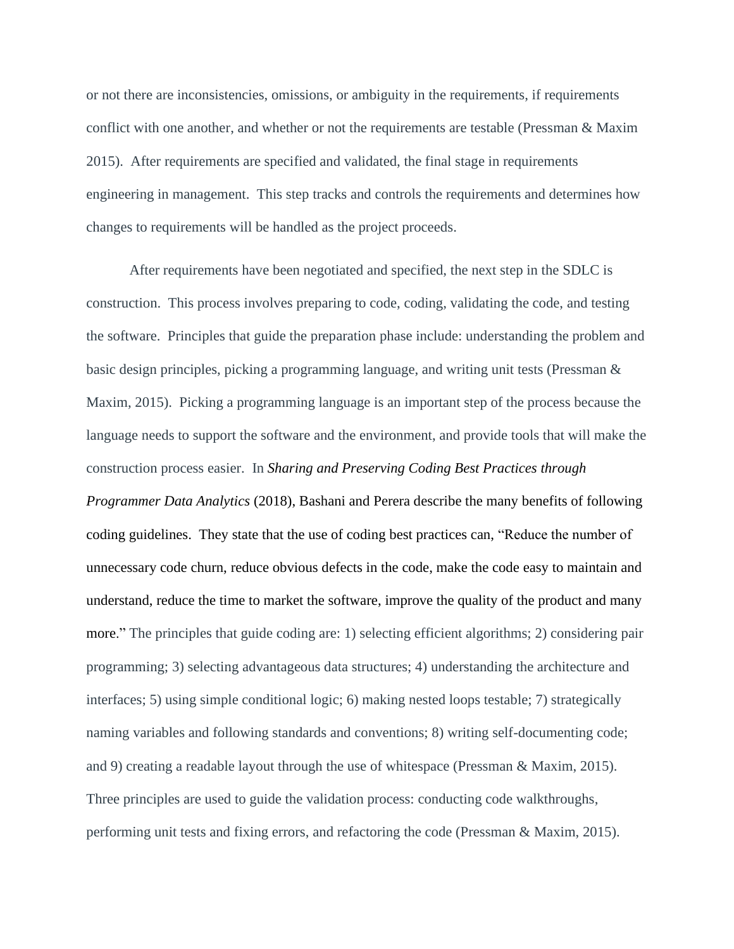or not there are inconsistencies, omissions, or ambiguity in the requirements, if requirements conflict with one another, and whether or not the requirements are testable (Pressman & Maxim 2015). After requirements are specified and validated, the final stage in requirements engineering in management. This step tracks and controls the requirements and determines how changes to requirements will be handled as the project proceeds.

After requirements have been negotiated and specified, the next step in the SDLC is construction. This process involves preparing to code, coding, validating the code, and testing the software. Principles that guide the preparation phase include: understanding the problem and basic design principles, picking a programming language, and writing unit tests (Pressman & Maxim, 2015). Picking a programming language is an important step of the process because the language needs to support the software and the environment, and provide tools that will make the construction process easier. In *Sharing and Preserving Coding Best Practices through Programmer Data Analytics* (2018), Bashani and Perera describe the many benefits of following coding guidelines. They state that the use of coding best practices can, "Reduce the number of unnecessary code churn, reduce obvious defects in the code, make the code easy to maintain and understand, reduce the time to market the software, improve the quality of the product and many more." The principles that guide coding are: 1) selecting efficient algorithms; 2) considering pair programming; 3) selecting advantageous data structures; 4) understanding the architecture and interfaces; 5) using simple conditional logic; 6) making nested loops testable; 7) strategically naming variables and following standards and conventions; 8) writing self-documenting code; and 9) creating a readable layout through the use of whitespace (Pressman & Maxim, 2015). Three principles are used to guide the validation process: conducting code walkthroughs, performing unit tests and fixing errors, and refactoring the code (Pressman & Maxim, 2015).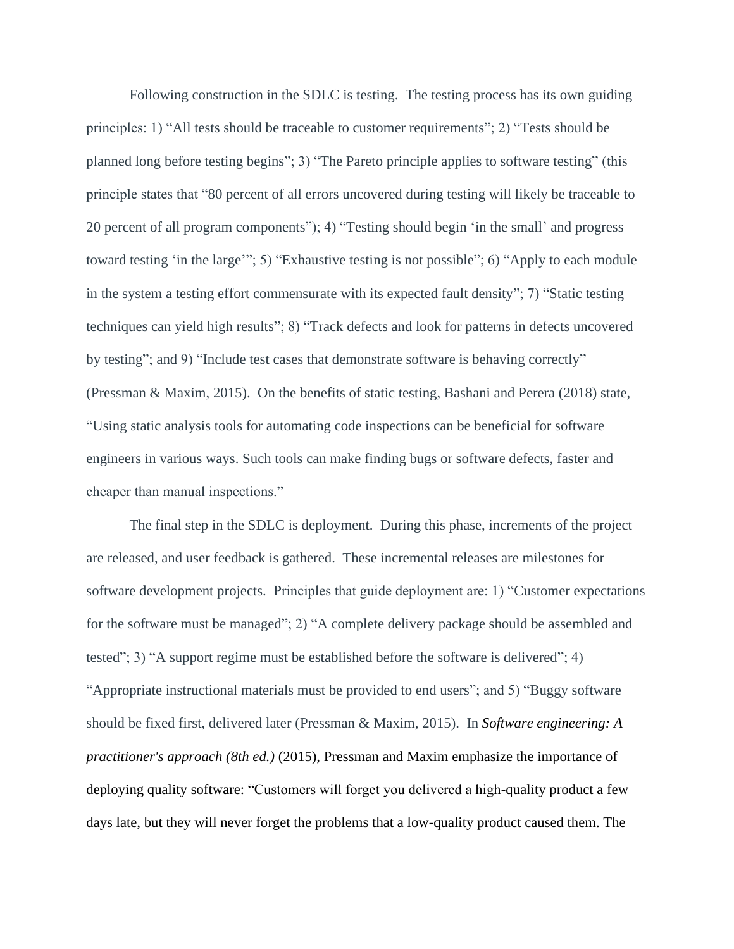Following construction in the SDLC is testing. The testing process has its own guiding principles: 1) "All tests should be traceable to customer requirements"; 2) "Tests should be planned long before testing begins"; 3) "The Pareto principle applies to software testing" (this principle states that "80 percent of all errors uncovered during testing will likely be traceable to 20 percent of all program components"); 4) "Testing should begin 'in the small' and progress toward testing 'in the large'"; 5) "Exhaustive testing is not possible"; 6) "Apply to each module in the system a testing effort commensurate with its expected fault density"; 7) "Static testing techniques can yield high results"; 8) "Track defects and look for patterns in defects uncovered by testing"; and 9) "Include test cases that demonstrate software is behaving correctly" (Pressman & Maxim, 2015). On the benefits of static testing, Bashani and Perera (2018) state, "Using static analysis tools for automating code inspections can be beneficial for software engineers in various ways. Such tools can make finding bugs or software defects, faster and cheaper than manual inspections."

The final step in the SDLC is deployment. During this phase, increments of the project are released, and user feedback is gathered. These incremental releases are milestones for software development projects. Principles that guide deployment are: 1) "Customer expectations for the software must be managed"; 2) "A complete delivery package should be assembled and tested"; 3) "A support regime must be established before the software is delivered"; 4) "Appropriate instructional materials must be provided to end users"; and 5) "Buggy software should be fixed first, delivered later (Pressman & Maxim, 2015). In *Software engineering: A practitioner's approach (8th ed.)* (2015), Pressman and Maxim emphasize the importance of deploying quality software: "Customers will forget you delivered a high-quality product a few days late, but they will never forget the problems that a low-quality product caused them. The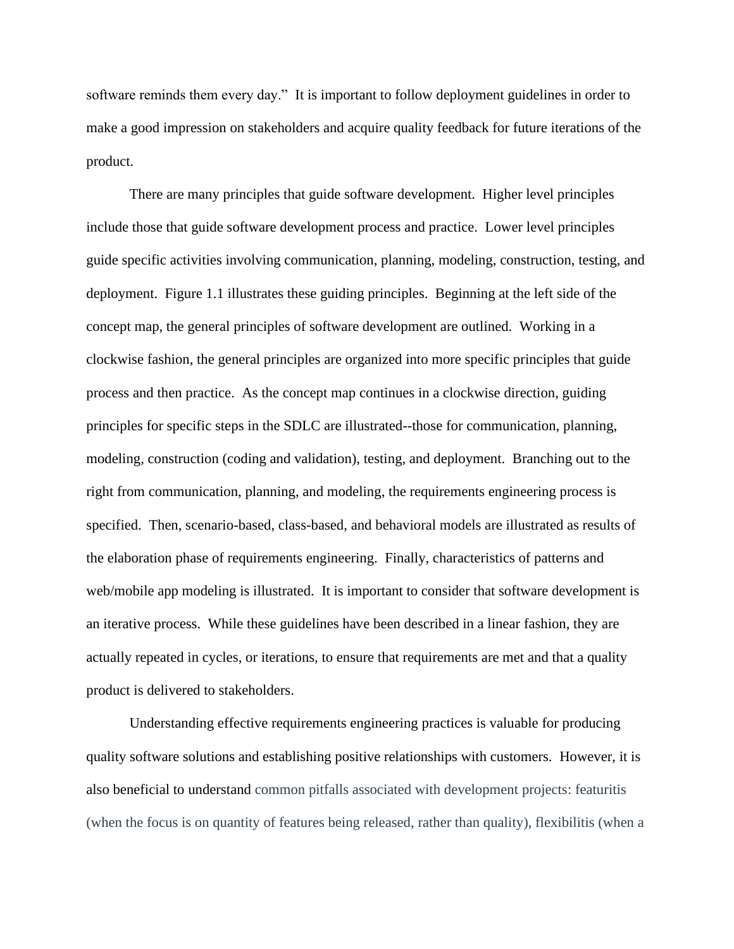software reminds them every day." It is important to follow deployment guidelines in order to make a good impression on stakeholders and acquire quality feedback for future iterations of the product.

There are many principles that guide software development. Higher level principles include those that guide software development process and practice. Lower level principles guide specific activities involving communication, planning, modeling, construction, testing, and deployment. Figure 1.1 illustrates these guiding principles. Beginning at the left side of the concept map, the general principles of software development are outlined. Working in a clockwise fashion, the general principles are organized into more specific principles that guide process and then practice. As the concept map continues in a clockwise direction, guiding principles for specific steps in the SDLC are illustrated--those for communication, planning, modeling, construction (coding and validation), testing, and deployment. Branching out to the right from communication, planning, and modeling, the requirements engineering process is specified. Then, scenario-based, class-based, and behavioral models are illustrated as results of the elaboration phase of requirements engineering. Finally, characteristics of patterns and web/mobile app modeling is illustrated. It is important to consider that software development is an iterative process. While these guidelines have been described in a linear fashion, they are actually repeated in cycles, or iterations, to ensure that requirements are met and that a quality product is delivered to stakeholders.

Understanding effective requirements engineering practices is valuable for producing quality software solutions and establishing positive relationships with customers. However, it is also beneficial to understand common pitfalls associated with development projects: featuritis (when the focus is on quantity of features being released, rather than quality), flexibilitis (when a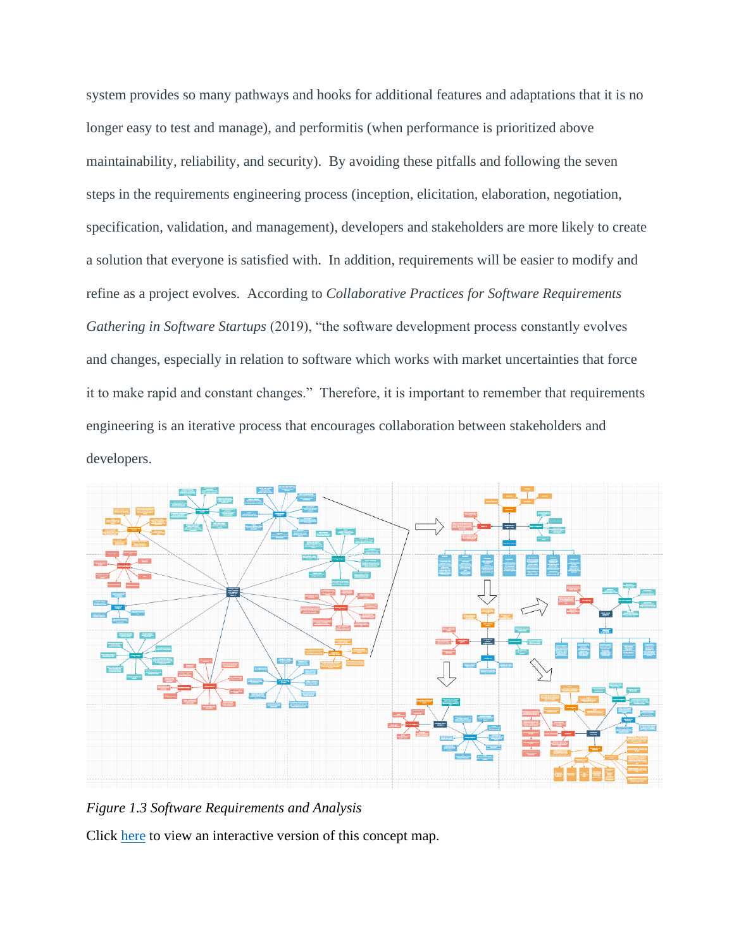system provides so many pathways and hooks for additional features and adaptations that it is no longer easy to test and manage), and performitis (when performance is prioritized above maintainability, reliability, and security). By avoiding these pitfalls and following the seven steps in the requirements engineering process (inception, elicitation, elaboration, negotiation, specification, validation, and management), developers and stakeholders are more likely to create a solution that everyone is satisfied with. In addition, requirements will be easier to modify and refine as a project evolves. According to *Collaborative Practices for Software Requirements Gathering in Software Startups* (2019), "the software development process constantly evolves and changes, especially in relation to software which works with market uncertainties that force it to make rapid and constant changes." Therefore, it is important to remember that requirements engineering is an iterative process that encourages collaboration between stakeholders and developers.



*Figure 1.3 Software Requirements and Analysis*

Click [here](https://drive.google.com/file/d/1mstg7LH321BHQ9LmSlayS5BYbO19L2dz/view?usp=sharing) to view an interactive version of this concept map.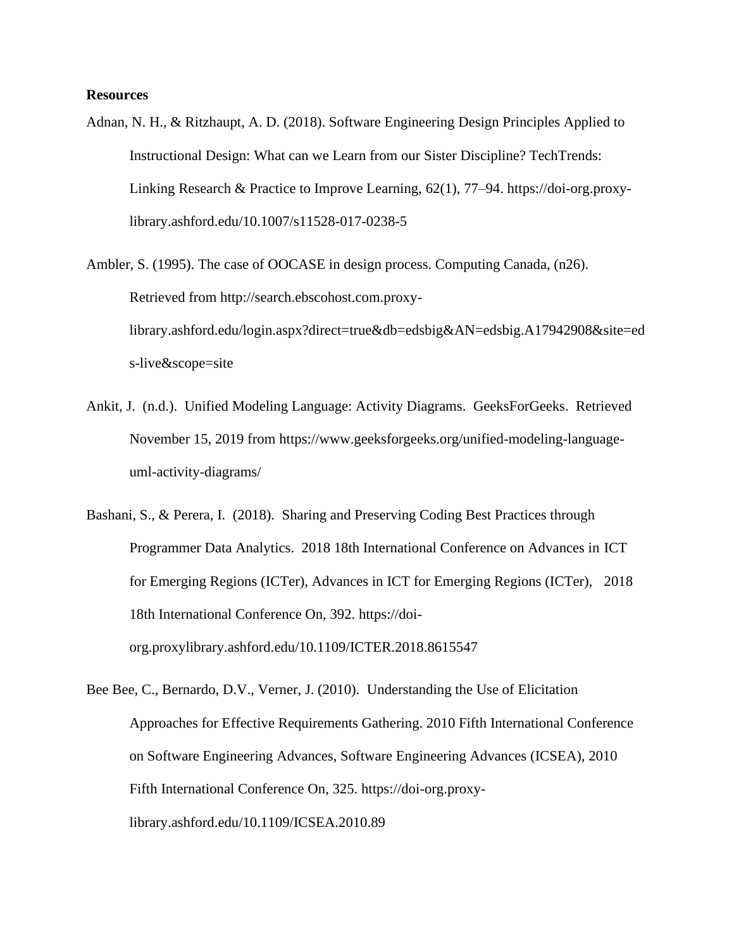## **Resources**

Adnan, N. H., & Ritzhaupt, A. D. (2018). Software Engineering Design Principles Applied to Instructional Design: What can we Learn from our Sister Discipline? TechTrends: Linking Research & Practice to Improve Learning, 62(1), 77–94. https://doi-org.proxylibrary.ashford.edu/10.1007/s11528-017-0238-5

Ambler, S. (1995). The case of OOCASE in design process. Computing Canada, (n26). Retrieved from http://search.ebscohost.com.proxylibrary.ashford.edu/login.aspx?direct=true&db=edsbig&AN=edsbig.A17942908&site=ed s-live&scope=site

- Ankit, J. (n.d.). Unified Modeling Language: Activity Diagrams. GeeksForGeeks. Retrieved November 15, 2019 from https://www.geeksforgeeks.org/unified-modeling-languageuml-activity-diagrams/
- Bashani, S., & Perera, I. (2018). Sharing and Preserving Coding Best Practices through Programmer Data Analytics. 2018 18th International Conference on Advances in ICT for Emerging Regions (ICTer), Advances in ICT for Emerging Regions (ICTer), 2018 18th International Conference On, 392. https://doiorg.proxylibrary.ashford.edu/10.1109/ICTER.2018.8615547
- Bee Bee, C., Bernardo, D.V., Verner, J. (2010). Understanding the Use of Elicitation Approaches for Effective Requirements Gathering. 2010 Fifth International Conference on Software Engineering Advances, Software Engineering Advances (ICSEA), 2010 Fifth International Conference On, 325. https://doi-org.proxylibrary.ashford.edu/10.1109/ICSEA.2010.89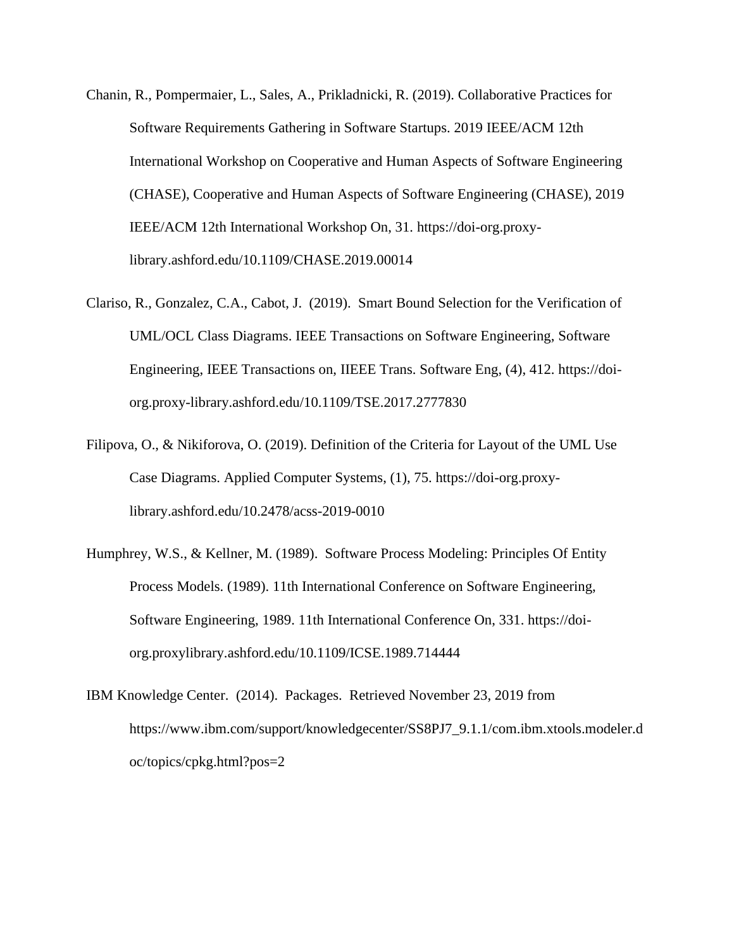- Chanin, R., Pompermaier, L., Sales, A., Prikladnicki, R. (2019). Collaborative Practices for Software Requirements Gathering in Software Startups. 2019 IEEE/ACM 12th International Workshop on Cooperative and Human Aspects of Software Engineering (CHASE), Cooperative and Human Aspects of Software Engineering (CHASE), 2019 IEEE/ACM 12th International Workshop On, 31. https://doi-org.proxylibrary.ashford.edu/10.1109/CHASE.2019.00014
- Clariso, R., Gonzalez, C.A., Cabot, J. (2019). Smart Bound Selection for the Verification of UML/OCL Class Diagrams. IEEE Transactions on Software Engineering, Software Engineering, IEEE Transactions on, IIEEE Trans. Software Eng, (4), 412. https://doiorg.proxy-library.ashford.edu/10.1109/TSE.2017.2777830
- Filipova, O., & Nikiforova, O. (2019). Definition of the Criteria for Layout of the UML Use Case Diagrams. Applied Computer Systems, (1), 75. https://doi-org.proxylibrary.ashford.edu/10.2478/acss-2019-0010
- Humphrey, W.S., & Kellner, M. (1989). Software Process Modeling: Principles Of Entity Process Models. (1989). 11th International Conference on Software Engineering, Software Engineering, 1989. 11th International Conference On, 331. https://doiorg.proxylibrary.ashford.edu/10.1109/ICSE.1989.714444
- IBM Knowledge Center. (2014). Packages. Retrieved November 23, 2019 from https://www.ibm.com/support/knowledgecenter/SS8PJ7\_9.1.1/com.ibm.xtools.modeler.d oc/topics/cpkg.html?pos=2